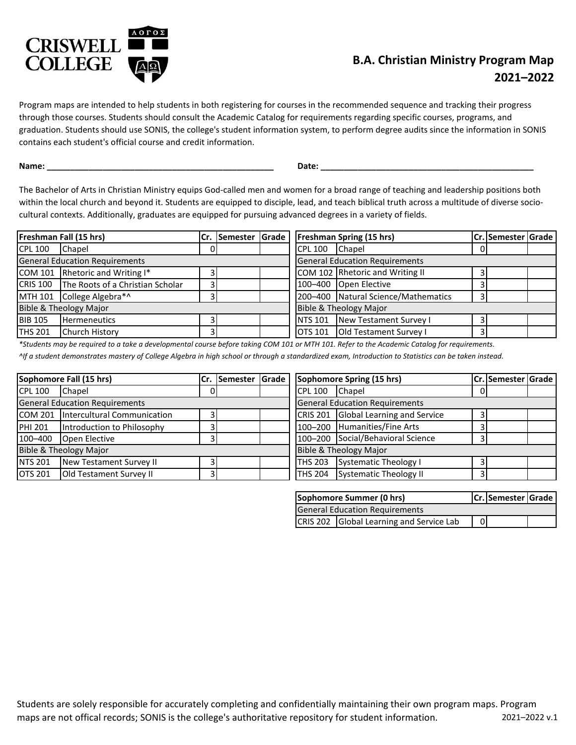

## **B.A. Christian Ministry Program Map 2021–2022**

Program maps are intended to help students in both registering for courses in the recommended sequence and tracking their progress through those courses. Students should consult the Academic Catalog for requirements regarding specific courses, programs, and graduation. Students should use SONIS, the college's student information system, to perform degree audits since the information in SONIS contains each student's official course and credit information.

**Name: \_\_\_\_\_\_\_\_\_\_\_\_\_\_\_\_\_\_\_\_\_\_\_\_\_\_\_\_\_\_\_\_\_\_\_\_\_\_\_\_\_\_\_\_\_\_\_\_\_ Date: \_\_\_\_\_\_\_\_\_\_\_\_\_\_\_\_\_\_\_\_\_\_\_\_\_\_\_\_\_\_\_\_\_\_\_\_\_\_\_\_\_\_\_\_\_\_**

The Bachelor of Arts in Christian Ministry equips God-called men and women for a broad range of teaching and leadership positions both within the local church and beyond it. Students are equipped to disciple, lead, and teach biblical truth across a multitude of diverse sociocultural contexts. Additionally, graduates are equipped for pursuing advanced degrees in a variety of fields.

| Freshman Fall (15 hrs)                |                                           |  | <b>Cr. Semester Grade  </b>           | <b>Freshman Spring (15 hrs)</b> |                                     |                | <b>Cr.</b> Semester Grade |  |
|---------------------------------------|-------------------------------------------|--|---------------------------------------|---------------------------------|-------------------------------------|----------------|---------------------------|--|
| <b>CPL 100</b>                        | Chapel                                    |  |                                       | <b>CPL 100</b>                  | <b>Chapel</b>                       | 01             |                           |  |
| <b>General Education Requirements</b> |                                           |  | <b>General Education Requirements</b> |                                 |                                     |                |                           |  |
|                                       | COM 101 Rhetoric and Writing I*           |  |                                       |                                 | COM 102 Rhetoric and Writing II     | 3              |                           |  |
|                                       | CRIS 100 The Roots of a Christian Scholar |  |                                       |                                 | 100-400 Open Elective               |                |                           |  |
|                                       | MTH 101 College Algebra*^                 |  |                                       |                                 | 200-400 Natural Science/Mathematics | 3              |                           |  |
|                                       | Bible & Theology Major                    |  |                                       |                                 | <b>Bible &amp; Theology Major</b>   |                |                           |  |
| <b>BIB 105</b>                        | <b>Hermeneutics</b>                       |  |                                       | <b>NTS 101</b>                  | New Testament Survey I              | 3              |                           |  |
| <b>THS 201</b>                        | Church History                            |  |                                       | OTS 101                         | Old Testament Survey I              | $\overline{3}$ |                           |  |

*\*Students may be required to a take a developmental course before taking COM 101 or MTH 101. Refer to the Academic Catalog for requirements.*

*^If a student demonstrates mastery of College Algebra in high school or through a standardized exam, Introduction to Statistics can be taken instead.*

| Sophomore Fall (15 hrs)               |  |     |  |                |                 | lCr.                                                                                                                                                                                                                                                                     |
|---------------------------------------|--|-----|--|----------------|-----------------|--------------------------------------------------------------------------------------------------------------------------------------------------------------------------------------------------------------------------------------------------------------------------|
| Chapel                                |  |     |  |                | <b>CPL 100</b>  | 0                                                                                                                                                                                                                                                                        |
| <b>General Education Requirements</b> |  |     |  |                |                 |                                                                                                                                                                                                                                                                          |
| COM 201 Intercultural Communication   |  |     |  |                | <b>CRIS 201</b> |                                                                                                                                                                                                                                                                          |
| Introduction to Philosophy            |  |     |  |                |                 |                                                                                                                                                                                                                                                                          |
| Open Elective                         |  |     |  |                |                 |                                                                                                                                                                                                                                                                          |
| Bible & Theology Major                |  |     |  |                |                 |                                                                                                                                                                                                                                                                          |
| New Testament Survey II               |  |     |  |                | <b>THS 203</b>  |                                                                                                                                                                                                                                                                          |
| <b>Old Testament Survey II</b>        |  |     |  |                | <b>THS 204</b>  |                                                                                                                                                                                                                                                                          |
|                                       |  | Cr. |  | Semester Grade |                 | Sophomore Spring (15 hrs)<br>Chapel<br><b>General Education Requirements</b><br>Global Learning and Service<br>100-200 Humanities/Fine Arts<br>100-200 Social/Behavioral Science<br><b>Bible &amp; Theology Major</b><br>Systematic Theology I<br>Systematic Theology II |

|                | Cr. Semester Grade |  |                                       | <b>Sophomore Spring (15 hrs)</b>  |  | Cr. Semester Grade |  |
|----------------|--------------------|--|---------------------------------------|-----------------------------------|--|--------------------|--|
| 01             |                    |  | <b>CPL 100</b>                        | Chapel                            |  |                    |  |
|                |                    |  | <b>General Education Requirements</b> |                                   |  |                    |  |
| 3              |                    |  | <b>CRIS 201</b>                       | Global Learning and Service       |  |                    |  |
| $\overline{3}$ |                    |  |                                       | 100-200 Humanities/Fine Arts      |  |                    |  |
| $\overline{3}$ |                    |  |                                       | 100-200 Social/Behavioral Science |  |                    |  |
|                |                    |  |                                       | <b>Bible &amp; Theology Major</b> |  |                    |  |
| $\overline{3}$ |                    |  | <b>THS 203</b>                        | Systematic Theology I             |  |                    |  |
| 3              |                    |  | <b>THS 204</b>                        | <b>Systematic Theology II</b>     |  |                    |  |
|                |                    |  |                                       |                                   |  |                    |  |

| Sophomore Summer (0 hrs)                 |          | Cr. Semester Grade |  |
|------------------------------------------|----------|--------------------|--|
| <b>General Education Requirements</b>    |          |                    |  |
| CRIS 202 Global Learning and Service Lab | $\Omega$ |                    |  |

Students are solely responsible for accurately completing and confidentially maintaining their own program maps. Program maps are not offical records; SONIS is the college's authoritative repository for student information. 2021–2022 v.1